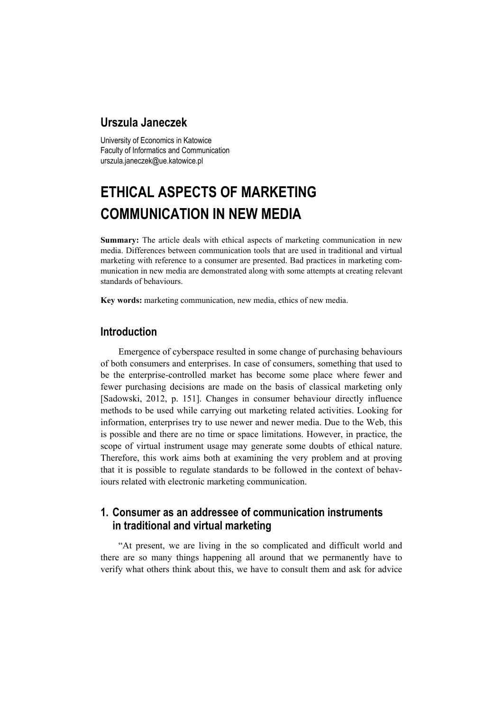## **Urszula Janeczek**

University of Economics in Katowice Faculty of Informatics and Communication urszula.janeczek@ue.katowice.pl

# **ETHICAL ASPECTS OF MARKETING COMMUNICATION IN NEW MEDIA**

**Summary:** The article deals with ethical aspects of marketing communication in new media. Differences between communication tools that are used in traditional and virtual marketing with reference to a consumer are presented. Bad practices in marketing communication in new media are demonstrated along with some attempts at creating relevant standards of behaviours.

**Key words:** marketing communication, new media, ethics of new media.

#### **Introduction**

Emergence of cyberspace resulted in some change of purchasing behaviours of both consumers and enterprises. In case of consumers, something that used to be the enterprise-controlled market has become some place where fewer and fewer purchasing decisions are made on the basis of classical marketing only [Sadowski, 2012, p. 151]. Changes in consumer behaviour directly influence methods to be used while carrying out marketing related activities. Looking for information, enterprises try to use newer and newer media. Due to the Web, this is possible and there are no time or space limitations. However, in practice, the scope of virtual instrument usage may generate some doubts of ethical nature. Therefore, this work aims both at examining the very problem and at proving that it is possible to regulate standards to be followed in the context of behaviours related with electronic marketing communication.

## **1. Consumer as an addressee of communication instruments in traditional and virtual marketing**

"At present, we are living in the so complicated and difficult world and there are so many things happening all around that we permanently have to verify what others think about this, we have to consult them and ask for advice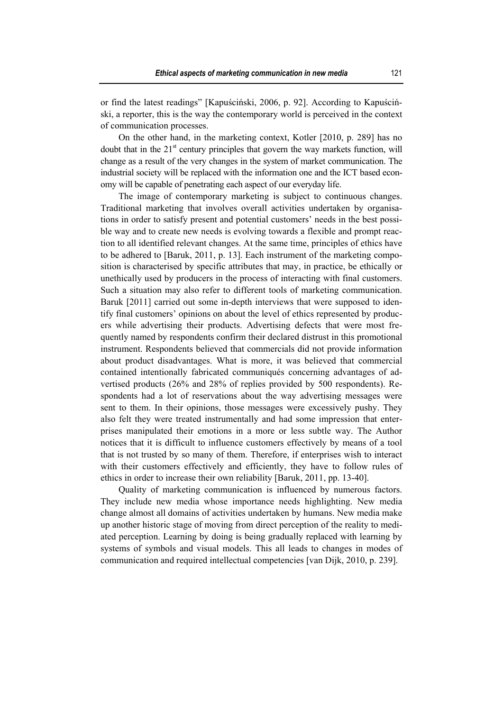or find the latest readings" [Kapuściński, 2006, p. 92]. According to Kapuściński, a reporter, this is the way the contemporary world is perceived in the context of communication processes.

On the other hand, in the marketing context, Kotler [2010, p. 289] has no doubt that in the  $21<sup>st</sup>$  century principles that govern the way markets function, will change as a result of the very changes in the system of market communication. The industrial society will be replaced with the information one and the ICT based economy will be capable of penetrating each aspect of our everyday life.

The image of contemporary marketing is subject to continuous changes. Traditional marketing that involves overall activities undertaken by organisations in order to satisfy present and potential customers' needs in the best possible way and to create new needs is evolving towards a flexible and prompt reaction to all identified relevant changes. At the same time, principles of ethics have to be adhered to [Baruk, 2011, p. 13]. Each instrument of the marketing composition is characterised by specific attributes that may, in practice, be ethically or unethically used by producers in the process of interacting with final customers. Such a situation may also refer to different tools of marketing communication. Baruk [2011] carried out some in-depth interviews that were supposed to identify final customers' opinions on about the level of ethics represented by producers while advertising their products. Advertising defects that were most frequently named by respondents confirm their declared distrust in this promotional instrument. Respondents believed that commercials did not provide information about product disadvantages. What is more, it was believed that commercial contained intentionally fabricated communiqués concerning advantages of advertised products (26% and 28% of replies provided by 500 respondents). Respondents had a lot of reservations about the way advertising messages were sent to them. In their opinions, those messages were excessively pushy. They also felt they were treated instrumentally and had some impression that enterprises manipulated their emotions in a more or less subtle way. The Author notices that it is difficult to influence customers effectively by means of a tool that is not trusted by so many of them. Therefore, if enterprises wish to interact with their customers effectively and efficiently, they have to follow rules of ethics in order to increase their own reliability [Baruk, 2011, pp. 13-40].

Quality of marketing communication is influenced by numerous factors. They include new media whose importance needs highlighting. New media change almost all domains of activities undertaken by humans. New media make up another historic stage of moving from direct perception of the reality to mediated perception. Learning by doing is being gradually replaced with learning by systems of symbols and visual models. This all leads to changes in modes of communication and required intellectual competencies [van Dijk, 2010, p. 239].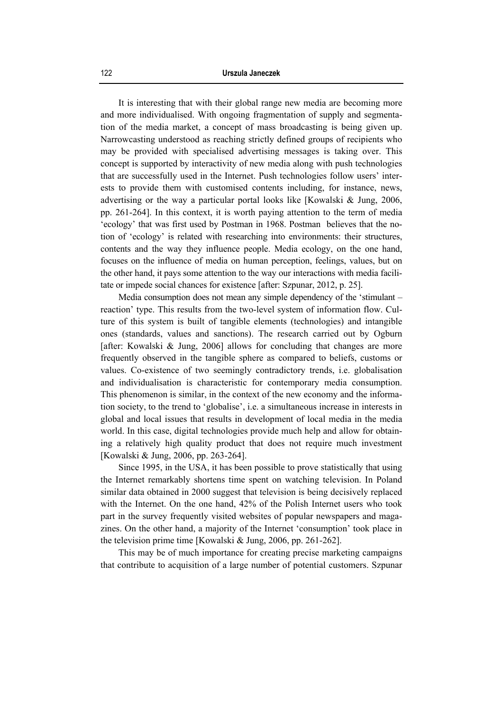It is interesting that with their global range new media are becoming more and more individualised. With ongoing fragmentation of supply and segmentation of the media market, a concept of mass broadcasting is being given up. Narrowcasting understood as reaching strictly defined groups of recipients who may be provided with specialised advertising messages is taking over. This concept is supported by interactivity of new media along with push technologies that are successfully used in the Internet. Push technologies follow users' interests to provide them with customised contents including, for instance, news, advertising or the way a particular portal looks like [Kowalski & Jung, 2006, pp. 261-264]. In this context, it is worth paying attention to the term of media 'ecology' that was first used by Postman in 1968. Postman believes that the notion of 'ecology' is related with researching into environments: their structures, contents and the way they influence people. Media ecology, on the one hand, focuses on the influence of media on human perception, feelings, values, but on the other hand, it pays some attention to the way our interactions with media facilitate or impede social chances for existence [after: Szpunar, 2012, p. 25].

Media consumption does not mean any simple dependency of the 'stimulant – reaction' type. This results from the two-level system of information flow. Culture of this system is built of tangible elements (technologies) and intangible ones (standards, values and sanctions). The research carried out by Ogburn [after: Kowalski & Jung, 2006] allows for concluding that changes are more frequently observed in the tangible sphere as compared to beliefs, customs or values. Co-existence of two seemingly contradictory trends, i.e. globalisation and individualisation is characteristic for contemporary media consumption. This phenomenon is similar, in the context of the new economy and the information society, to the trend to 'globalise', i.e. a simultaneous increase in interests in global and local issues that results in development of local media in the media world. In this case, digital technologies provide much help and allow for obtaining a relatively high quality product that does not require much investment [Kowalski & Jung, 2006, pp. 263-264].

Since 1995, in the USA, it has been possible to prove statistically that using the Internet remarkably shortens time spent on watching television. In Poland similar data obtained in 2000 suggest that television is being decisively replaced with the Internet. On the one hand, 42% of the Polish Internet users who took part in the survey frequently visited websites of popular newspapers and magazines. On the other hand, a majority of the Internet 'consumption' took place in the television prime time [Kowalski & Jung, 2006, pp. 261-262].

This may be of much importance for creating precise marketing campaigns that contribute to acquisition of a large number of potential customers. Szpunar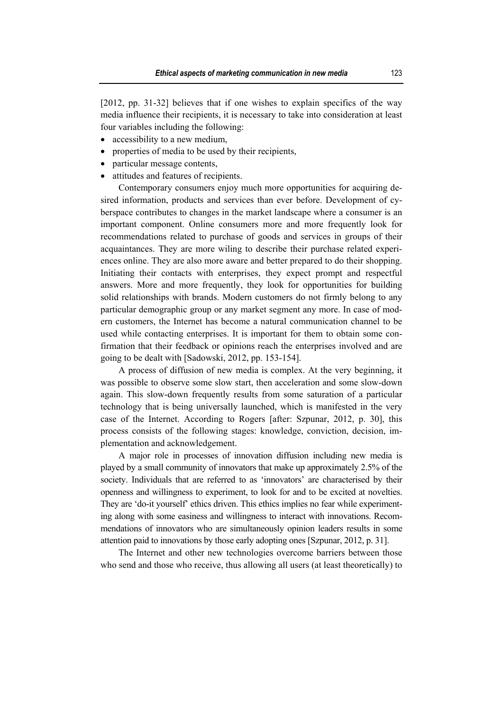[2012, pp. 31-32] believes that if one wishes to explain specifics of the way media influence their recipients, it is necessary to take into consideration at least four variables including the following:

- accessibility to a new medium,
- properties of media to be used by their recipients,
- particular message contents,
- attitudes and features of recipients.

Contemporary consumers enjoy much more opportunities for acquiring desired information, products and services than ever before. Development of cyberspace contributes to changes in the market landscape where a consumer is an important component. Online consumers more and more frequently look for recommendations related to purchase of goods and services in groups of their acquaintances. They are more wiling to describe their purchase related experiences online. They are also more aware and better prepared to do their shopping. Initiating their contacts with enterprises, they expect prompt and respectful answers. More and more frequently, they look for opportunities for building solid relationships with brands. Modern customers do not firmly belong to any particular demographic group or any market segment any more. In case of modern customers, the Internet has become a natural communication channel to be used while contacting enterprises. It is important for them to obtain some confirmation that their feedback or opinions reach the enterprises involved and are going to be dealt with [Sadowski, 2012, pp. 153-154].

A process of diffusion of new media is complex. At the very beginning, it was possible to observe some slow start, then acceleration and some slow-down again. This slow-down frequently results from some saturation of a particular technology that is being universally launched, which is manifested in the very case of the Internet. According to Rogers [after: Szpunar, 2012, p. 30], this process consists of the following stages: knowledge, conviction, decision, implementation and acknowledgement.

A major role in processes of innovation diffusion including new media is played by a small community of innovators that make up approximately 2.5% of the society. Individuals that are referred to as 'innovators' are characterised by their openness and willingness to experiment, to look for and to be excited at novelties. They are 'do-it yourself' ethics driven. This ethics implies no fear while experimenting along with some easiness and willingness to interact with innovations. Recommendations of innovators who are simultaneously opinion leaders results in some attention paid to innovations by those early adopting ones [Szpunar, 2012, p. 31].

The Internet and other new technologies overcome barriers between those who send and those who receive, thus allowing all users (at least theoretically) to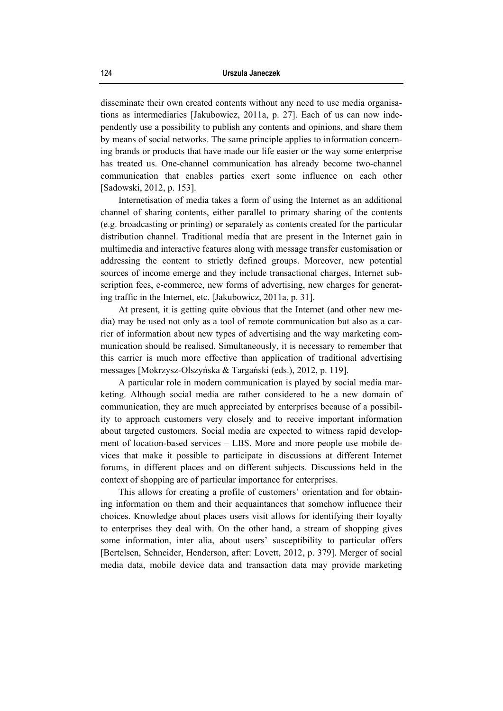disseminate their own created contents without any need to use media organisations as intermediaries [Jakubowicz, 2011a, p. 27]. Each of us can now independently use a possibility to publish any contents and opinions, and share them by means of social networks. The same principle applies to information concerning brands or products that have made our life easier or the way some enterprise has treated us. One-channel communication has already become two-channel communication that enables parties exert some influence on each other [Sadowski, 2012, p. 153].

Internetisation of media takes a form of using the Internet as an additional channel of sharing contents, either parallel to primary sharing of the contents (e.g. broadcasting or printing) or separately as contents created for the particular distribution channel. Traditional media that are present in the Internet gain in multimedia and interactive features along with message transfer customisation or addressing the content to strictly defined groups. Moreover, new potential sources of income emerge and they include transactional charges, Internet subscription fees, e-commerce, new forms of advertising, new charges for generating traffic in the Internet, etc. [Jakubowicz, 2011a, p. 31].

At present, it is getting quite obvious that the Internet (and other new media) may be used not only as a tool of remote communication but also as a carrier of information about new types of advertising and the way marketing communication should be realised. Simultaneously, it is necessary to remember that this carrier is much more effective than application of traditional advertising messages [Mokrzysz-Olszyńska & Targański (eds.), 2012, p. 119].

A particular role in modern communication is played by social media marketing. Although social media are rather considered to be a new domain of communication, they are much appreciated by enterprises because of a possibility to approach customers very closely and to receive important information about targeted customers. Social media are expected to witness rapid development of location-based services – LBS. More and more people use mobile devices that make it possible to participate in discussions at different Internet forums, in different places and on different subjects. Discussions held in the context of shopping are of particular importance for enterprises.

This allows for creating a profile of customers' orientation and for obtaining information on them and their acquaintances that somehow influence their choices. Knowledge about places users visit allows for identifying their loyalty to enterprises they deal with. On the other hand, a stream of shopping gives some information, inter alia, about users' susceptibility to particular offers [Bertelsen, Schneider, Henderson, after: Lovett, 2012, p. 379]. Merger of social media data, mobile device data and transaction data may provide marketing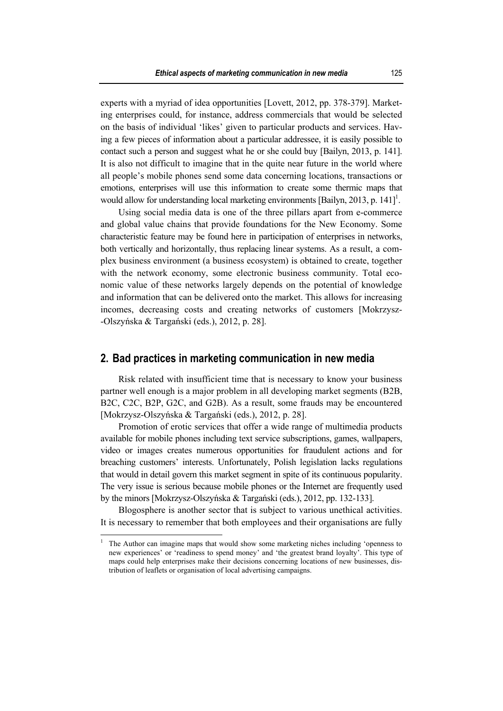experts with a myriad of idea opportunities [Lovett, 2012, pp. 378-379]. Marketing enterprises could, for instance, address commercials that would be selected on the basis of individual 'likes' given to particular products and services. Having a few pieces of information about a particular addressee, it is easily possible to contact such a person and suggest what he or she could buy [Bailyn, 2013, p. 141]. It is also not difficult to imagine that in the quite near future in the world where all people's mobile phones send some data concerning locations, transactions or emotions, enterprises will use this information to create some thermic maps that would allow for understanding local marketing environments [Bailyn, 2013, p. 141]<sup>1</sup>.

Using social media data is one of the three pillars apart from e-commerce and global value chains that provide foundations for the New Economy. Some characteristic feature may be found here in participation of enterprises in networks, both vertically and horizontally, thus replacing linear systems. As a result, a complex business environment (a business ecosystem) is obtained to create, together with the network economy, some electronic business community. Total economic value of these networks largely depends on the potential of knowledge and information that can be delivered onto the market. This allows for increasing incomes, decreasing costs and creating networks of customers [Mokrzysz- -Olszyńska & Targański (eds.), 2012, p. 28].

### **2. Bad practices in marketing communication in new media**

Risk related with insufficient time that is necessary to know your business partner well enough is a major problem in all developing market segments (B2B, B2C, C2C, B2P, G2C, and G2B). As a result, some frauds may be encountered [Mokrzysz-Olszyńska & Targański (eds.), 2012, p. 28].

Promotion of erotic services that offer a wide range of multimedia products available for mobile phones including text service subscriptions, games, wallpapers, video or images creates numerous opportunities for fraudulent actions and for breaching customers' interests. Unfortunately, Polish legislation lacks regulations that would in detail govern this market segment in spite of its continuous popularity. The very issue is serious because mobile phones or the Internet are frequently used by the minors [Mokrzysz-Olszyńska & Targański (eds.), 2012, pp. 132-133].

Blogosphere is another sector that is subject to various unethical activities. It is necessary to remember that both employees and their organisations are fully

 $\overline{\phantom{a}}$ 

<sup>1</sup> The Author can imagine maps that would show some marketing niches including 'openness to new experiences' or 'readiness to spend money' and 'the greatest brand loyalty'. This type of maps could help enterprises make their decisions concerning locations of new businesses, distribution of leaflets or organisation of local advertising campaigns.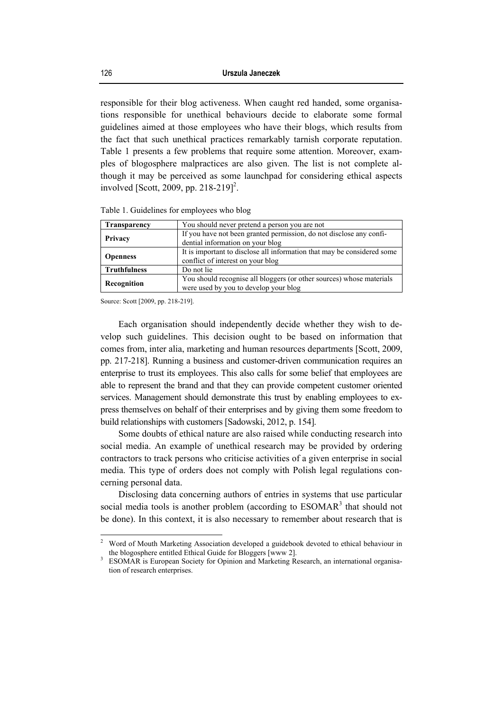responsible for their blog activeness. When caught red handed, some organisations responsible for unethical behaviours decide to elaborate some formal guidelines aimed at those employees who have their blogs, which results from the fact that such unethical practices remarkably tarnish corporate reputation. Table 1 presents a few problems that require some attention. Moreover, examples of blogosphere malpractices are also given. The list is not complete although it may be perceived as some launchpad for considering ethical aspects involved [Scott, 2009, pp. 218-219]<sup>2</sup>.

| <b>Transparency</b> | You should never pretend a person you are not                                                                 |
|---------------------|---------------------------------------------------------------------------------------------------------------|
| Privacy             | If you have not been granted permission, do not disclose any confi-<br>dential information on your blog       |
| <b>Openness</b>     | It is important to disclose all information that may be considered some<br>conflict of interest on your blog  |
| <b>Truthfulness</b> | Do not lie                                                                                                    |
| Recognition         | You should recognise all bloggers (or other sources) whose materials<br>were used by you to develop your blog |

Table 1. Guidelines for employees who blog

Source: Scott [2009, pp. 218-219].

Each organisation should independently decide whether they wish to develop such guidelines. This decision ought to be based on information that comes from, inter alia, marketing and human resources departments [Scott, 2009, pp. 217-218]. Running a business and customer-driven communication requires an enterprise to trust its employees. This also calls for some belief that employees are able to represent the brand and that they can provide competent customer oriented services. Management should demonstrate this trust by enabling employees to express themselves on behalf of their enterprises and by giving them some freedom to build relationships with customers [Sadowski, 2012, p. 154].

Some doubts of ethical nature are also raised while conducting research into social media. An example of unethical research may be provided by ordering contractors to track persons who criticise activities of a given enterprise in social media. This type of orders does not comply with Polish legal regulations concerning personal data.

Disclosing data concerning authors of entries in systems that use particular social media tools is another problem (according to  $ESOMAR<sup>3</sup>$  that should not be done). In this context, it is also necessary to remember about research that is

 $\frac{1}{2}$  Word of Mouth Marketing Association developed a guidebook devoted to ethical behaviour in the blogosphere entitled Ethical Guide for Bloggers [www 2].

ESOMAR is European Society for Opinion and Marketing Research, an international organisation of research enterprises.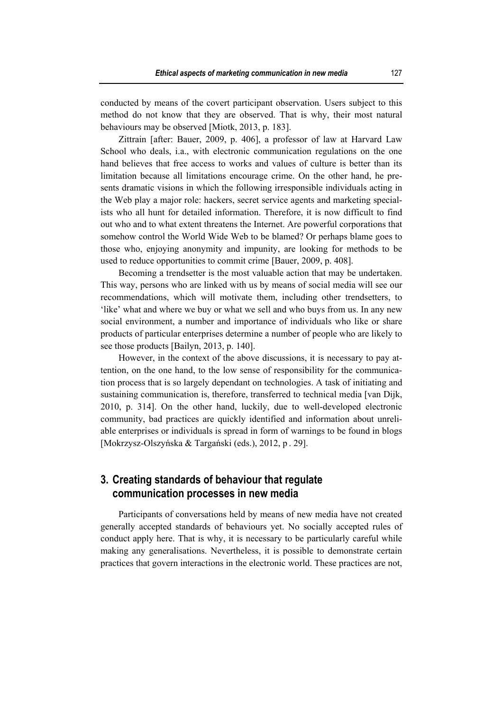conducted by means of the covert participant observation. Users subject to this method do not know that they are observed. That is why, their most natural behaviours may be observed [Miotk, 2013, p. 183].

Zittrain [after: Bauer, 2009, p. 406], a professor of law at Harvard Law School who deals, i.a., with electronic communication regulations on the one hand believes that free access to works and values of culture is better than its limitation because all limitations encourage crime. On the other hand, he presents dramatic visions in which the following irresponsible individuals acting in the Web play a major role: hackers, secret service agents and marketing specialists who all hunt for detailed information. Therefore, it is now difficult to find out who and to what extent threatens the Internet. Are powerful corporations that somehow control the World Wide Web to be blamed? Or perhaps blame goes to those who, enjoying anonymity and impunity, are looking for methods to be used to reduce opportunities to commit crime [Bauer, 2009, p. 408].

Becoming a trendsetter is the most valuable action that may be undertaken. This way, persons who are linked with us by means of social media will see our recommendations, which will motivate them, including other trendsetters, to 'like' what and where we buy or what we sell and who buys from us. In any new social environment, a number and importance of individuals who like or share products of particular enterprises determine a number of people who are likely to see those products [Bailyn, 2013, p. 140].

However, in the context of the above discussions, it is necessary to pay attention, on the one hand, to the low sense of responsibility for the communication process that is so largely dependant on technologies. A task of initiating and sustaining communication is, therefore, transferred to technical media [van Dijk, 2010, p. 314]. On the other hand, luckily, due to well-developed electronic community, bad practices are quickly identified and information about unreliable enterprises or individuals is spread in form of warnings to be found in blogs [Mokrzysz-Olszyńska & Targański (eds.), 2012, p . 29].

## **3. Creating standards of behaviour that regulate communication processes in new media**

Participants of conversations held by means of new media have not created generally accepted standards of behaviours yet. No socially accepted rules of conduct apply here. That is why, it is necessary to be particularly careful while making any generalisations. Nevertheless, it is possible to demonstrate certain practices that govern interactions in the electronic world. These practices are not,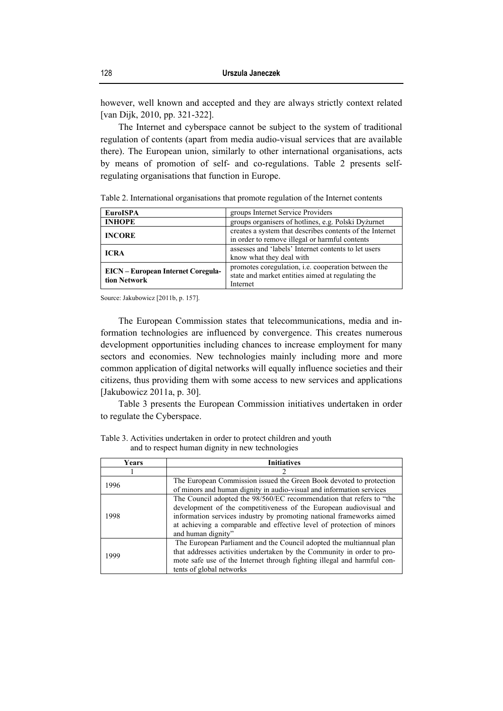however, well known and accepted and they are always strictly context related [van Dijk, 2010, pp. 321-322].

The Internet and cyberspace cannot be subject to the system of traditional regulation of contents (apart from media audio-visual services that are available there). The European union, similarly to other international organisations, acts by means of promotion of self- and co-regulations. Table 2 presents selfregulating organisations that function in Europe.

Table 2. International organisations that promote regulation of the Internet contents

| <b>EuroISPA</b>                                           | groups Internet Service Providers                        |  |
|-----------------------------------------------------------|----------------------------------------------------------|--|
| <b>INHOPE</b>                                             | groups organisers of hotlines, e.g. Polski Dyzurnet      |  |
| <b>INCORE</b>                                             | creates a system that describes contents of the Internet |  |
|                                                           | in order to remove illegal or harmful contents           |  |
| <b>ICRA</b>                                               | assesses and 'labels' Internet contents to let users     |  |
|                                                           | know what they deal with                                 |  |
|                                                           | promotes coregulation, i.e. cooperation between the      |  |
| <b>EICN</b> – European Internet Coregula-<br>tion Network | state and market entities aimed at regulating the        |  |
|                                                           | Internet                                                 |  |

Source: Jakubowicz [2011b, p. 157].

The European Commission states that telecommunications, media and information technologies are influenced by convergence. This creates numerous development opportunities including chances to increase employment for many sectors and economies. New technologies mainly including more and more common application of digital networks will equally influence societies and their citizens, thus providing them with some access to new services and applications [Jakubowicz 2011a, p. 30].

Table 3 presents the European Commission initiatives undertaken in order to regulate the Cyberspace.

| Years | <b>Initiatives</b>                                                                                                                                                                                                                                                                                                |
|-------|-------------------------------------------------------------------------------------------------------------------------------------------------------------------------------------------------------------------------------------------------------------------------------------------------------------------|
|       |                                                                                                                                                                                                                                                                                                                   |
| 1996  | The European Commission issued the Green Book devoted to protection<br>of minors and human dignity in audio-visual and information services                                                                                                                                                                       |
| 1998  | The Council adopted the 98/560/EC recommendation that refers to "the<br>development of the competitiveness of the European audiovisual and<br>information services industry by promoting national frameworks aimed<br>at achieving a comparable and effective level of protection of minors<br>and human dignity" |
| 1999  | The European Parliament and the Council adopted the multiannual plan<br>that addresses activities undertaken by the Community in order to pro-<br>mote safe use of the Internet through fighting illegal and harmful con-<br>tents of global networks                                                             |

Table 3. Activities undertaken in order to protect children and youth and to respect human dignity in new technologies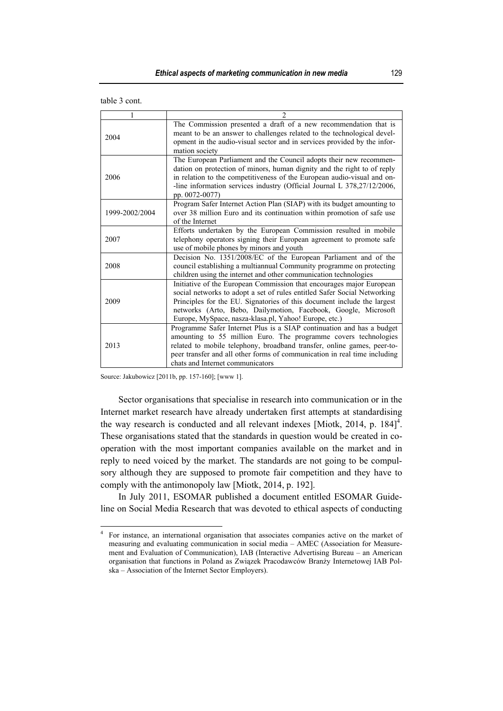| table 3 cont. |  |  |
|---------------|--|--|
|---------------|--|--|

|                | $\mathfrak{D}$                                                                                                                                                                                                                                                                                                                                         |
|----------------|--------------------------------------------------------------------------------------------------------------------------------------------------------------------------------------------------------------------------------------------------------------------------------------------------------------------------------------------------------|
| 2004           | The Commission presented a draft of a new recommendation that is<br>meant to be an answer to challenges related to the technological devel-<br>opment in the audio-visual sector and in services provided by the infor-<br>mation society                                                                                                              |
| 2006           | The European Parliament and the Council adopts their new recommen-<br>dation on protection of minors, human dignity and the right to of reply<br>in relation to the competitiveness of the European audio-visual and on-<br>-line information services industry (Official Journal L 378,27/12/2006,<br>pp. 0072-0077)                                  |
| 1999-2002/2004 | Program Safer Internet Action Plan (SIAP) with its budget amounting to<br>over 38 million Euro and its continuation within promotion of safe use<br>of the Internet                                                                                                                                                                                    |
| 2007           | Efforts undertaken by the European Commission resulted in mobile<br>telephony operators signing their European agreement to promote safe<br>use of mobile phones by minors and youth                                                                                                                                                                   |
| 2008           | Decision No. 1351/2008/EC of the European Parliament and of the<br>council establishing a multiannual Community programme on protecting<br>children using the internet and other communication technologies                                                                                                                                            |
| 2009           | Initiative of the European Commission that encourages major European<br>social networks to adopt a set of rules entitled Safer Social Networking<br>Principles for the EU. Signatories of this document include the largest<br>networks (Arto, Bebo, Dailymotion, Facebook, Google, Microsoft<br>Europe, MySpace, nasza-klasa.pl, Yahoo! Europe, etc.) |
| 2013           | Programme Safer Internet Plus is a SIAP continuation and has a budget<br>amounting to 55 million Euro. The programme covers technologies<br>related to mobile telephony, broadband transfer, online games, peer-to-<br>peer transfer and all other forms of communication in real time including<br>chats and Internet communicators                   |

Source: Jakubowicz [2011b, pp. 157-160]; [www 1].

Sector organisations that specialise in research into communication or in the Internet market research have already undertaken first attempts at standardising the way research is conducted and all relevant indexes [Miotk, 2014, p.  $184$ ]<sup>4</sup>. These organisations stated that the standards in question would be created in cooperation with the most important companies available on the market and in reply to need voiced by the market. The standards are not going to be compulsory although they are supposed to promote fair competition and they have to comply with the antimonopoly law [Miotk, 2014, p. 192].

In July 2011, ESOMAR published a document entitled ESOMAR Guideline on Social Media Research that was devoted to ethical aspects of conducting

 $\frac{1}{4}$  For instance, an international organisation that associates companies active on the market of measuring and evaluating communication in social media – AMEC (Association for Measurement and Evaluation of Communication), IAB (Interactive Advertising Bureau – an American organisation that functions in Poland as Związek Pracodawców Branży Internetowej IAB Polska – Association of the Internet Sector Employers).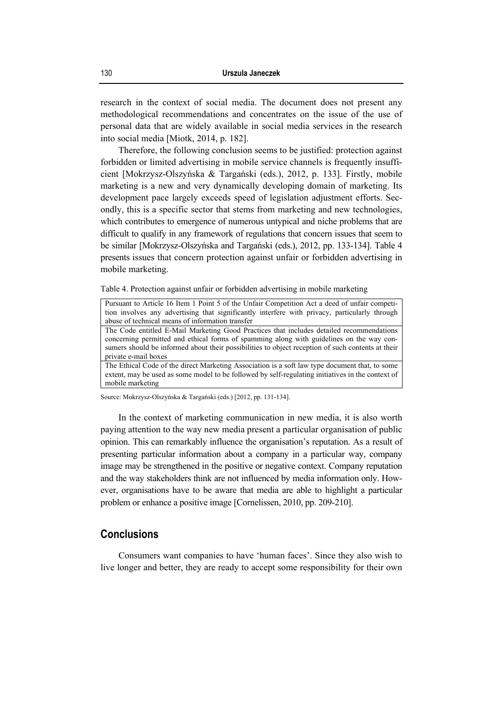research in the context of social media. The document does not present any methodological recommendations and concentrates on the issue of the use of personal data that are widely available in social media services in the research into social media [Miotk, 2014, p. 182].

Therefore, the following conclusion seems to be justified: protection against forbidden or limited advertising in mobile service channels is frequently insufficient [Mokrzysz-Olszyńska & Targański (eds.), 2012, p. 133]. Firstly, mobile marketing is a new and very dynamically developing domain of marketing. Its development pace largely exceeds speed of legislation adjustment efforts. Secondly, this is a specific sector that stems from marketing and new technologies, which contributes to emergence of numerous untypical and niche problems that are difficult to qualify in any framework of regulations that concern issues that seem to be similar [Mokrzysz-Olszyńska and Targański (eds.), 2012, pp. 133-134]. Table 4 presents issues that concern protection against unfair or forbidden advertising in mobile marketing.

Table 4. Protection against unfair or forbidden advertising in mobile marketing

| Pursuant to Article 16 Item 1 Point 5 of the Unfair Competition Act a deed of unfair competi-     |
|---------------------------------------------------------------------------------------------------|
| tion involves any advertising that significantly interfere with privacy, particularly through     |
| abuse of technical means of information transfer                                                  |
| The Code entitled E-Mail Marketing Good Practices that includes detailed recommendations          |
| concerning permitted and ethical forms of spamming along with guidelines on the way con-          |
| sumers should be informed about their possibilities to object reception of such contents at their |
| private e-mail boxes                                                                              |
| The Ethical Code of the direct Marketing Association is a soft law type document that, to some    |
| extent, may be used as some model to be followed by self-regulating initiatives in the context of |

mobile marketing

Source: Mokrzysz-Olszyńska & Targański (eds.) [2012, pp. 131-134].

In the context of marketing communication in new media, it is also worth paying attention to the way new media present a particular organisation of public opinion. This can remarkably influence the organisation's reputation. As a result of presenting particular information about a company in a particular way, company image may be strengthened in the positive or negative context. Company reputation and the way stakeholders think are not influenced by media information only. However, organisations have to be aware that media are able to highlight a particular problem or enhance a positive image [Cornelissen, 2010, pp. 209-210].

#### **Conclusions**

Consumers want companies to have 'human faces'. Since they also wish to live longer and better, they are ready to accept some responsibility for their own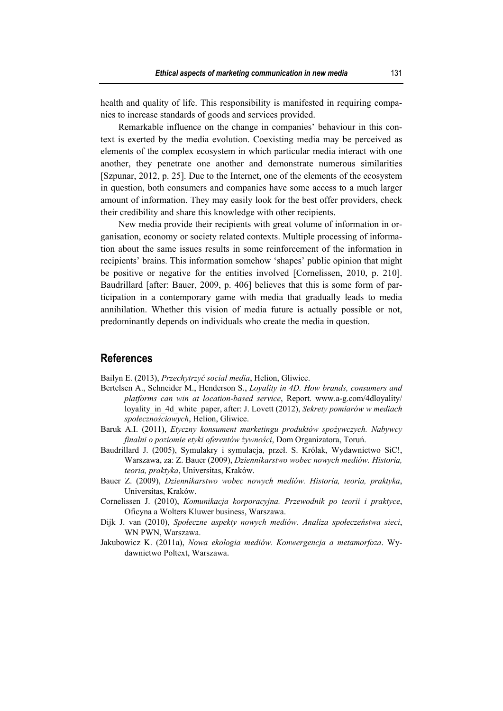health and quality of life. This responsibility is manifested in requiring companies to increase standards of goods and services provided.

Remarkable influence on the change in companies' behaviour in this context is exerted by the media evolution. Coexisting media may be perceived as elements of the complex ecosystem in which particular media interact with one another, they penetrate one another and demonstrate numerous similarities [Szpunar, 2012, p. 25]. Due to the Internet, one of the elements of the ecosystem in question, both consumers and companies have some access to a much larger amount of information. They may easily look for the best offer providers, check their credibility and share this knowledge with other recipients.

New media provide their recipients with great volume of information in organisation, economy or society related contexts. Multiple processing of information about the same issues results in some reinforcement of the information in recipients' brains. This information somehow 'shapes' public opinion that might be positive or negative for the entities involved [Cornelissen, 2010, p. 210]. Baudrillard [after: Bauer, 2009, p. 406] believes that this is some form of participation in a contemporary game with media that gradually leads to media annihilation. Whether this vision of media future is actually possible or not, predominantly depends on individuals who create the media in question.

#### **References**

Bailyn E. (2013), *Przechytrzyć social media*, Helion, Gliwice.

- Bertelsen A., Schneider M., Henderson S., *Loyality in 4D. How brands, consumers and platforms can win at location-based service*, Report. www.a-g.com/4dloyality/ loyality\_in\_4d\_white\_paper, after: J. Lovett (2012), *Sekrety pomiarów w mediach społecznościowych*, Helion, Gliwice.
- Baruk A.I. (2011), *Etyczny konsument marketingu produktów spożywczych. Nabywcy finalni o poziomie etyki oferentów żywności*, Dom Organizatora, Toruń.
- Baudrillard J. (2005), Symulakry i symulacja, przeł. S. Królak, Wydawnictwo SiC!, Warszawa, za: Z. Bauer (2009), *Dziennikarstwo wobec nowych mediów. Historia, teoria, praktyka*, Universitas, Kraków.
- Bauer Z. (2009), *Dziennikarstwo wobec nowych mediów. Historia, teoria, praktyka*, Universitas, Kraków.
- Cornelissen J. (2010), *Komunikacja korporacyjna. Przewodnik po teorii i praktyce*, Oficyna a Wolters Kluwer business, Warszawa.
- Dijk J. van (2010), *Społeczne aspekty nowych mediów. Analiza społeczeństwa sieci*, WN PWN, Warszawa.
- Jakubowicz K. (2011a), *Nowa ekologia mediów. Konwergencja a metamorfoza*. Wydawnictwo Poltext, Warszawa.